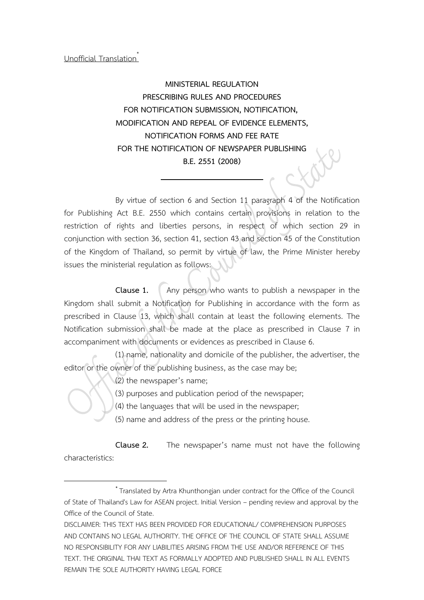### Unofficial Translation\*

# **MINISTERIAL REGULATION PRESCRIBING RULES AND PROCEDURES FOR NOTIFICATION SUBMISSION, NOTIFICATION, MODIFICATION AND REPEAL OF EVIDENCE ELEMENTS, NOTIFICATION FORMS AND FEE RATE FOR THE NOTIFICATION OF NEWSPAPER PUBLISHING B.E. 2551 (2008)**

By virtue of section 6 and Section 11 paragraph 4 of the Notification for Publishing Act B.E. 2550 which contains certain provisions in relation to the restriction of rights and liberties persons, in respect of which section 29 in conjunction with section 36, section 41, section 43 and section 45 of the Constitution of the Kingdom of Thailand, so permit by virtue of law, the Prime Minister hereby issues the ministerial regulation as follows:

**Clause 1.** Any person who wants to publish a newspaper in the Kingdom shall submit a Notification for Publishing in accordance with the form as prescribed in Clause 13, which shall contain at least the following elements. The Notification submission shall be made at the place as prescribed in Clause 7 in accompaniment with documents or evidences as prescribed in Clause 6.

(1) name, nationality and domicile of the publisher, the advertiser, the editor or the owner of the publishing business, as the case may be;

(2) the newspaper's name;

 $\overline{a}$ 

(3) purposes and publication period of the newspaper;

(4) the languages that will be used in the newspaper;

(5) name and address of the press or the printing house.

**Clause 2.** The newspaper's name must not have the following characteristics:

<sup>\*</sup> Translated by Artra Khunthongjan under contract for the Office of the Council of State of Thailand's Law for ASEAN project. Initial Version – pending review and approval by the Office of the Council of State.

DISCLAIMER: THIS TEXT HAS BEEN PROVIDED FOR EDUCATIONAL/ COMPREHENSION PURPOSES AND CONTAINS NO LEGAL AUTHORITY. THE OFFICE OF THE COUNCIL OF STATE SHALL ASSUME NO RESPONSIBILITY FOR ANY LIABILITIES ARISING FROM THE USE AND/OR REFERENCE OF THIS TEXT. THE ORIGINAL THAI TEXT AS FORMALLY ADOPTED AND PUBLISHED SHALL IN ALL EVENTS REMAIN THE SOLE AUTHORITY HAVING LEGAL FORCE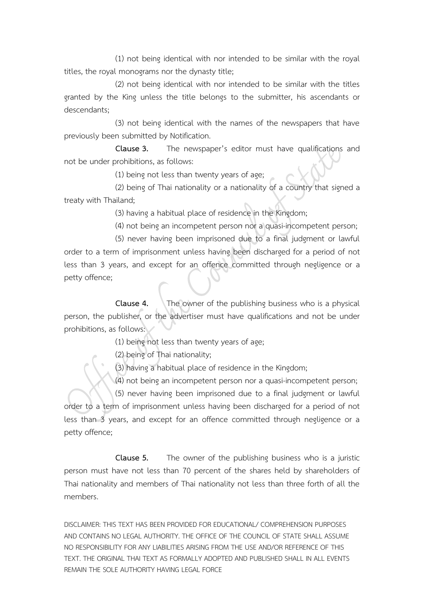(1) not being identical with nor intended to be similar with the royal titles, the royal monograms nor the dynasty title;

(2) not being identical with nor intended to be similar with the titles granted by the King unless the title belongs to the submitter, his ascendants or descendants;

(3) not being identical with the names of the newspapers that have previously been submitted by Notification.

**Clause 3.** The newspaper's editor must have qualifications and not be under prohibitions, as follows:

(1) being not less than twenty years of age;

(2) being of Thai nationality or a nationality of a country that signed a treaty with Thailand;

(3) having a habitual place of residence in the Kingdom;

(4) not being an incompetent person nor a quasi-incompetent person;

(5) never having been imprisoned due to a final judgment or lawful order to a term of imprisonment unless having been discharged for a period of not less than 3 years, and except for an offence committed through negligence or a petty offence;

**Clause 4.** The owner of the publishing business who is a physical person, the publisher, or the advertiser must have qualifications and not be under prohibitions, as follows:

(1) being not less than twenty years of age;

(2) being of Thai nationality;

(3) having a habitual place of residence in the Kingdom;

(4) not being an incompetent person nor a quasi-incompetent person;

(5) never having been imprisoned due to a final judgment or lawful order to a term of imprisonment unless having been discharged for a period of not less than 3 years, and except for an offence committed through negligence or a petty offence;

**Clause 5.** The owner of the publishing business who is a juristic person must have not less than 70 percent of the shares held by shareholders of Thai nationality and members of Thai nationality not less than three forth of all the members.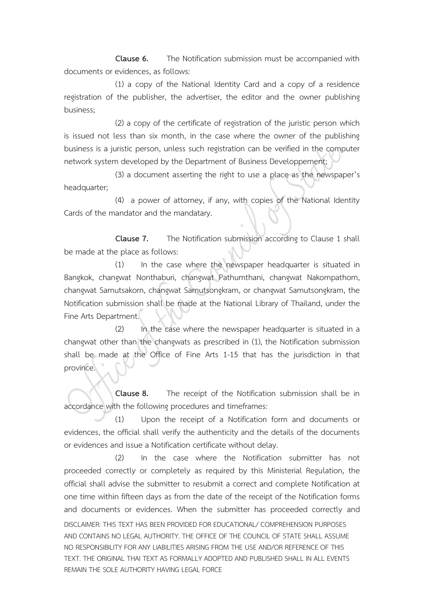**Clause 6.** The Notification submission must be accompanied with documents or evidences, as follows:

(1) a copy of the National Identity Card and a copy of a residence registration of the publisher, the advertiser, the editor and the owner publishing business;

(2) a copy of the certificate of registration of the juristic person which is issued not less than six month, in the case where the owner of the publishing business is a juristic person, unless such registration can be verified in the computer network system developed by the Department of Business Developpement;

(3) a document asserting the right to use a place as the newspaper's headquarter;

(4) a power of attorney, if any, with copies of the National Identity Cards of the mandator and the mandatary.

**Clause 7.** The Notification submission according to Clause 1 shall be made at the place as follows:

(1) In the case where the newspaper headquarter is situated in Bangkok, changwat Nonthaburi, changwat Pathumthani, changwat Nakornpathom, changwat Samutsakorn, changwat Samutsongkram, or changwat Samutsongkram, the Notification submission shall be made at the National Library of Thailand, under the Fine Arts Department.

(2) In the case where the newspaper headquarter is situated in a changwat other than the changwats as prescribed in (1), the Notification submission shall be made at the Office of Fine Arts 1-15 that has the jurisdiction in that province.

**Clause 8.** The receipt of the Notification submission shall be in accordance with the following procedures and timeframes:

(1) Upon the receipt of a Notification form and documents or evidences, the official shall verify the authenticity and the details of the documents or evidences and issue a Notification certificate without delay.

DISCLAIMER: THIS TEXT HAS BEEN PROVIDED FOR EDUCATIONAL/ COMPREHENSION PURPOSES AND CONTAINS NO LEGAL AUTHORITY. THE OFFICE OF THE COUNCIL OF STATE SHALL ASSUME NO RESPONSIBILITY FOR ANY LIABILITIES ARISING FROM THE USE AND/OR REFERENCE OF THIS TEXT. THE ORIGINAL THAI TEXT AS FORMALLY ADOPTED AND PUBLISHED SHALL IN ALL EVENTS REMAIN THE SOLE AUTHORITY HAVING LEGAL FORCE (2) In the case where the Notification submitter has not proceeded correctly or completely as required by this Ministerial Regulation, the official shall advise the submitter to resubmit a correct and complete Notification at one time within fifteen days as from the date of the receipt of the Notification forms and documents or evidences. When the submitter has proceeded correctly and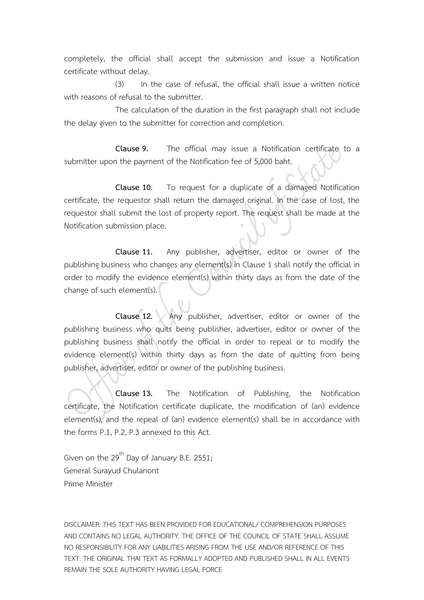completely, the official shall accept the submission and issue a Notification certificate without delay.

(3) In the case of refusal, the official shall issue a written notice with reasons of refusal to the submitter.

The calculation of the duration in the first paragraph shall not include the delay given to the submitter for correction and completion.

**Clause 9.** The official may issue a Notification certificate to a submitter upon the payment of the Notification fee of 5,000 baht.

**Clause 10.** To request for a duplicate of a damaged Notification certificate, the requestor shall return the damaged original. In the case of lost, the requestor shall submit the lost of property report. The request shall be made at the Notification submission place.

**Clause 11.** Any publisher, advertiser, editor or owner of the publishing business who changes any element(s) in Clause 1 shall notify the official in order to modify the evidence element(s) within thirty days as from the date of the change of such element(s).

**Clause 12.** Any publisher, advertiser, editor or owner of the publishing business who quits being publisher, advertiser, editor or owner of the publishing business shall notify the official in order to repeal or to modify the evidence element(s) within thirty days as from the date of quitting from being publisher, advertiser, editor or owner of the publishing business.

**Clause 13.** The Notification of Publishing, the Notification certificate, the Notification certificate duplicate, the modification of (an) evidence element(s), and the repeal of (an) evidence element(s) shall be in accordance with the forms P.1, P.2, P.3 annexed to this Act.

Given on the 29<sup>th</sup> Day of January B.E. 2551; General Surayud Chulanont Prime Minister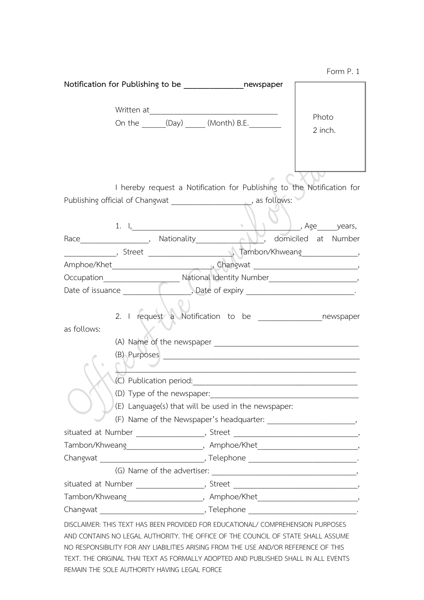|             |  |                            | On the ________(Day) ________ (Month) B.E.                                                                                                                                                                                                                                                                                                       | Photo<br>2 inch.                                                                  |
|-------------|--|----------------------------|--------------------------------------------------------------------------------------------------------------------------------------------------------------------------------------------------------------------------------------------------------------------------------------------------------------------------------------------------|-----------------------------------------------------------------------------------|
|             |  |                            | Publishing official of Changwat ______________________, as follows:                                                                                                                                                                                                                                                                              | I hereby request a Notification for Publishing to the Notification for            |
|             |  |                            |                                                                                                                                                                                                                                                                                                                                                  | 1. I, Nationality Mathematics Age years, Age years, Nationality , Age years,      |
|             |  |                            |                                                                                                                                                                                                                                                                                                                                                  |                                                                                   |
|             |  |                            |                                                                                                                                                                                                                                                                                                                                                  |                                                                                   |
|             |  |                            |                                                                                                                                                                                                                                                                                                                                                  |                                                                                   |
|             |  |                            |                                                                                                                                                                                                                                                                                                                                                  |                                                                                   |
| as follows: |  |                            |                                                                                                                                                                                                                                                                                                                                                  |                                                                                   |
|             |  |                            |                                                                                                                                                                                                                                                                                                                                                  | <u> 1980 - Johann Barn, amerikansk politiker (d. 1980)</u>                        |
|             |  | (D) Type of the newspaper: | (E) Language(s) that will be used in the newspaper:                                                                                                                                                                                                                                                                                              |                                                                                   |
|             |  |                            |                                                                                                                                                                                                                                                                                                                                                  | situated at Number ____________________, Street ________________________________, |
|             |  |                            |                                                                                                                                                                                                                                                                                                                                                  |                                                                                   |
|             |  |                            |                                                                                                                                                                                                                                                                                                                                                  |                                                                                   |
|             |  |                            |                                                                                                                                                                                                                                                                                                                                                  |                                                                                   |
|             |  |                            |                                                                                                                                                                                                                                                                                                                                                  | situated at Number _____________________, Street _______________________________, |
|             |  |                            |                                                                                                                                                                                                                                                                                                                                                  |                                                                                   |
|             |  |                            |                                                                                                                                                                                                                                                                                                                                                  |                                                                                   |
|             |  |                            | DISCLAIMER: THIS TEXT HAS BEEN PROVIDED FOR EDUCATIONAL/ COMPREHENSION PURPOSES<br>AND CONTAINS NO LEGAL AUTHORITY. THE OFFICE OF THE COUNCIL OF STATE SHALL ASSUME<br>NO RESPONSIBILITY FOR ANY LIABILITIES ARISING FROM THE USE AND/OR REFERENCE OF THIS<br>TEXT. THE ORIGINAL THAI TEXT AS FORMALLY ADOPTED AND PUBLISHED SHALL IN ALL EVENTS |                                                                                   |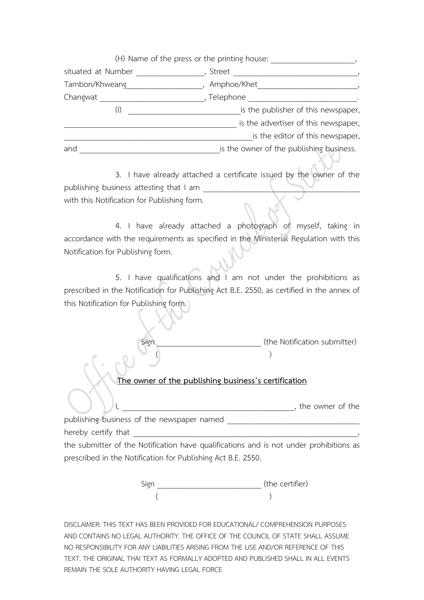|                    | (H) Name of the press or the printing house: |
|--------------------|----------------------------------------------|
| situated at Number | Street                                       |
| Tambon/Khweang     | Amphoe/Khet                                  |
| Changwat           | , Telephone                                  |
|                    | is the publisher of this newspaper,          |
|                    | is the advertiser of this newspaper,         |
|                    | is the editor of this newspaper,             |
| and                | is the owner of the publishing business.     |

3. I have already attached a certificate issued by the owner of the publishing business attesting that I am with this Notification for Publishing form.

4. I have already attached a photograph of myself, taking in accordance with the requirements as specified in the Ministerial Regulation with this Notification for Publishing form.

5. I have qualifications and I am not under the prohibitions as prescribed in the Notification for Publishing Act B.E. 2550, as certified in the annex of this Notification for Publishing form.

> Sign **Sign 2008** (the Notification submitter)  $\cup$  ( )

#### **The owner of the publishing business's certification**

 $\bigcup_{i=1}^n$ , publishing business of the newspaper named hereby certify that **Example 20** 

the submitter of the Notification have qualifications and is not under prohibitions as prescribed in the Notification for Publishing Act B.E. 2550.

> Sign \_\_\_\_\_\_\_\_\_\_\_\_\_\_\_\_\_\_\_\_\_\_\_\_\_\_ (the certifier)  $($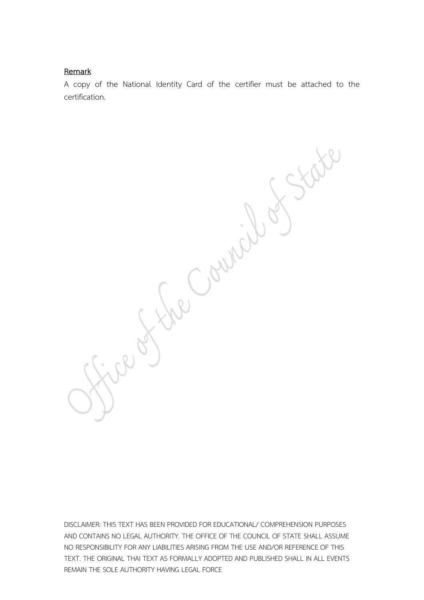#### **Remark**

A copy of the National Identity Card of the certifier must be attached to the certification.

Bestre Council of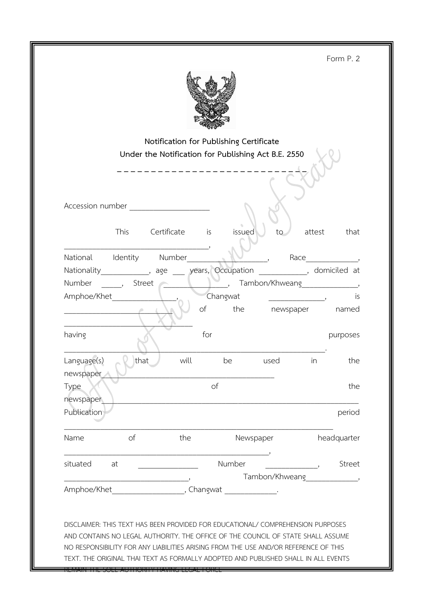Form P. 2



|                                                                                                                                                                     |          | Notification for Publishing Certificate<br>Under the Notification for Publishing Act B.E. 2550 |           |                                                                                     |                          |        |                                 |
|---------------------------------------------------------------------------------------------------------------------------------------------------------------------|----------|------------------------------------------------------------------------------------------------|-----------|-------------------------------------------------------------------------------------|--------------------------|--------|---------------------------------|
| Accession number <b>Accession</b> number                                                                                                                            |          |                                                                                                |           |                                                                                     |                          |        |                                 |
|                                                                                                                                                                     | This     | Certificate                                                                                    | <i>is</i> | issued                                                                              | to                       | attest | that                            |
| National Identity Number                                                                                                                                            |          |                                                                                                |           |                                                                                     |                          |        | Race $\qquad \qquad$ ,          |
| Nationality______________, age ____ years, Occupation _____________, domiciled at                                                                                   |          |                                                                                                |           |                                                                                     |                          |        |                                 |
| Number                                                                                                                                                              | , Street |                                                                                                |           |                                                                                     |                          |        |                                 |
| Amphoe/Khet                                                                                                                                                         |          |                                                                                                |           | Changwat                                                                            | $\overline{\phantom{a}}$ |        | is                              |
|                                                                                                                                                                     |          |                                                                                                | of        | the newspaper                                                                       |                          |        | named                           |
| having                                                                                                                                                              |          |                                                                                                | for       |                                                                                     |                          |        | purposes                        |
| Language(s)<br>newspaper                                                                                                                                            | that     | will                                                                                           |           | be                                                                                  | used                     | in     | the                             |
| Type<br>newspaper                                                                                                                                                   |          |                                                                                                | of        |                                                                                     |                          |        | the                             |
| Publication                                                                                                                                                         |          |                                                                                                |           |                                                                                     |                          |        | period                          |
| Name                                                                                                                                                                | of       | the                                                                                            |           | Newspaper                                                                           |                          |        | headquarter                     |
| situated                                                                                                                                                            | at       |                                                                                                |           | Number                                                                              |                          |        | Street                          |
|                                                                                                                                                                     |          |                                                                                                |           |                                                                                     |                          |        | Tambon/Khweang________________, |
|                                                                                                                                                                     |          |                                                                                                |           |                                                                                     |                          |        |                                 |
| DISCLAIMER: THIS TEXT HAS BEEN PROVIDED FOR EDUCATIONAL/ COMPREHENSION PURPOSES<br>AND CONTAINS NO LEGAL AUTHORITY. THE OFFICE OF THE COUNCIL OF STATE SHALL ASSUME |          |                                                                                                |           | NO RESPONSIBILITY FOR ANY LIABILITIES ARISING FROM THE USE AND/OR REFERENCE OF THIS |                          |        |                                 |

TEXT. THE ORIGINAL THAI TEXT AS FORMALLY ADOPTED AND PUBLISHED SHALL IN ALL EVENTS

REMAIN THE SOLE AUTHORITY HAVING LEGAL FORCE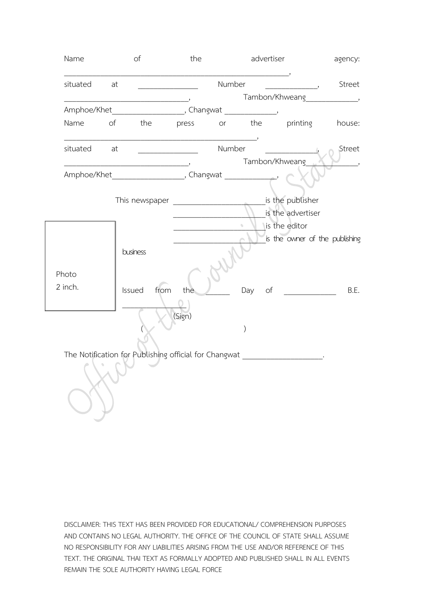